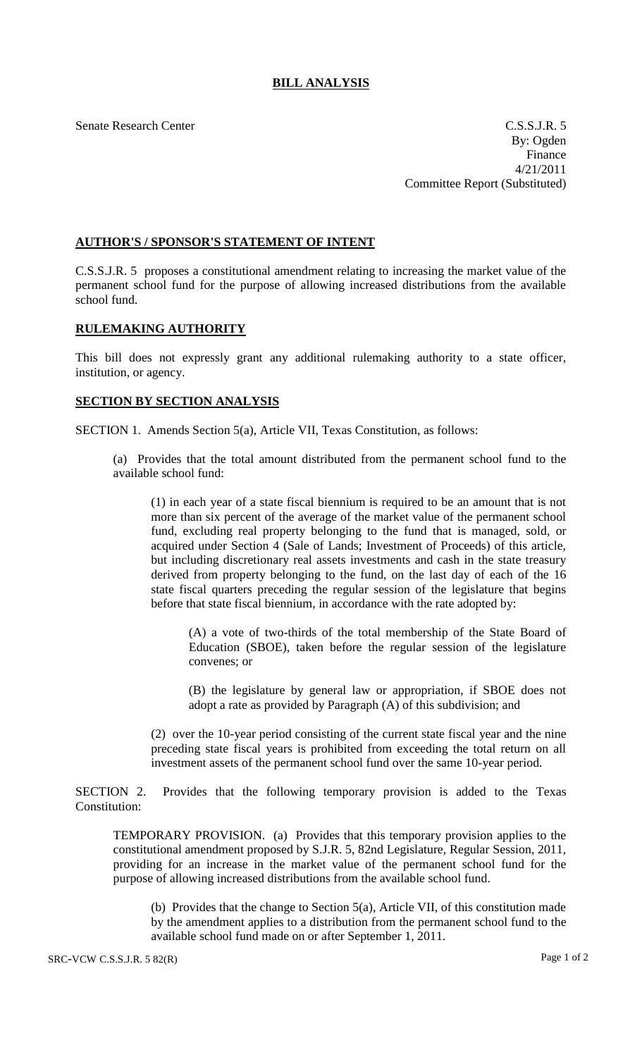## **BILL ANALYSIS**

Senate Research Center C.S.S.J.R. 5 By: Ogden Finance 4/21/2011 Committee Report (Substituted)

## **AUTHOR'S / SPONSOR'S STATEMENT OF INTENT**

C.S.S.J.R. 5 proposes a constitutional amendment relating to increasing the market value of the permanent school fund for the purpose of allowing increased distributions from the available school fund.

## **RULEMAKING AUTHORITY**

This bill does not expressly grant any additional rulemaking authority to a state officer, institution, or agency.

## **SECTION BY SECTION ANALYSIS**

SECTION 1. Amends Section 5(a), Article VII, Texas Constitution, as follows:

(a) Provides that the total amount distributed from the permanent school fund to the available school fund:

(1) in each year of a state fiscal biennium is required to be an amount that is not more than six percent of the average of the market value of the permanent school fund, excluding real property belonging to the fund that is managed, sold, or acquired under Section 4 (Sale of Lands; Investment of Proceeds) of this article, but including discretionary real assets investments and cash in the state treasury derived from property belonging to the fund, on the last day of each of the 16 state fiscal quarters preceding the regular session of the legislature that begins before that state fiscal biennium, in accordance with the rate adopted by:

(A) a vote of two-thirds of the total membership of the State Board of Education (SBOE), taken before the regular session of the legislature convenes; or

(B) the legislature by general law or appropriation, if SBOE does not adopt a rate as provided by Paragraph (A) of this subdivision; and

(2) over the 10-year period consisting of the current state fiscal year and the nine preceding state fiscal years is prohibited from exceeding the total return on all investment assets of the permanent school fund over the same 10-year period.

SECTION 2. Provides that the following temporary provision is added to the Texas Constitution:

TEMPORARY PROVISION. (a) Provides that this temporary provision applies to the constitutional amendment proposed by S.J.R. 5, 82nd Legislature, Regular Session, 2011, providing for an increase in the market value of the permanent school fund for the purpose of allowing increased distributions from the available school fund.

(b) Provides that the change to Section 5(a), Article VII, of this constitution made by the amendment applies to a distribution from the permanent school fund to the available school fund made on or after September 1, 2011.